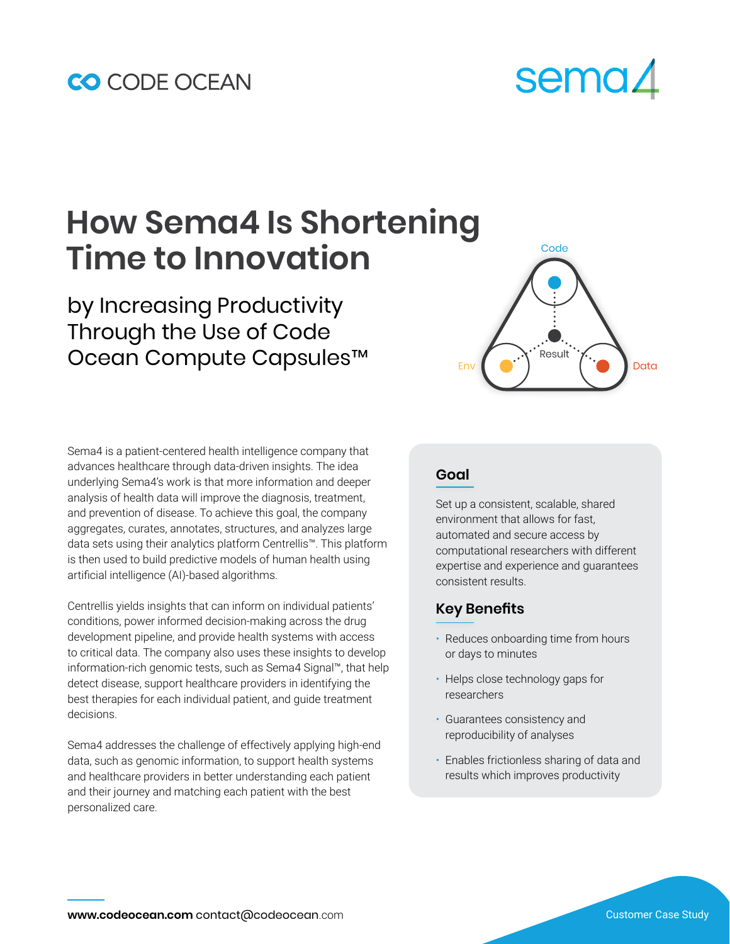### CO CODE OCEAN

# sema∠

## **How Sema4 Is Shortening Time to Innovation**

by Increasing Productivity Through the Use of Code Ocean Compute Capsules™ Envertitive Desta

Sema4 is a patient-centered health intelligence company that advances healthcare through data-driven insights. The idea underlying Sema4's work is that more information and deeper analysis of health data will improve the diagnosis, treatment, and prevention of disease. To achieve this goal, the company aggregates, curates, annotates, structures, and analyzes large data sets using their analytics platform Centrellis™. This platform is then used to build predictive models of human health using artificial intelligence (AI)-based algorithms.

Centrellis yields insights that can inform on individual patients' conditions, power informed decision-making across the drug development pipeline, and provide health systems with access to critical data. The company also uses these insights to develop information-rich genomic tests, such as Sema4 Signal™, that help detect disease, support healthcare providers in identifying the best therapies for each individual patient, and guide treatment decisions.

Sema4 addresses the challenge of effectively applying high-end data, such as genomic information, to support health systems and healthcare providers in better understanding each patient and their journey and matching each patient with the best personalized care.



#### **Goal**

Set up a consistent, scalable, shared environment that allows for fast, automated and secure access by computational researchers with different expertise and experience and guarantees consistent results.

#### **Key Benefits**

- Reduces onboarding time from hours or days to minutes
- Helps close technology gaps for researchers
- Guarantees consistency and reproducibility of analyses
- Enables frictionless sharing of data and results which improves productivity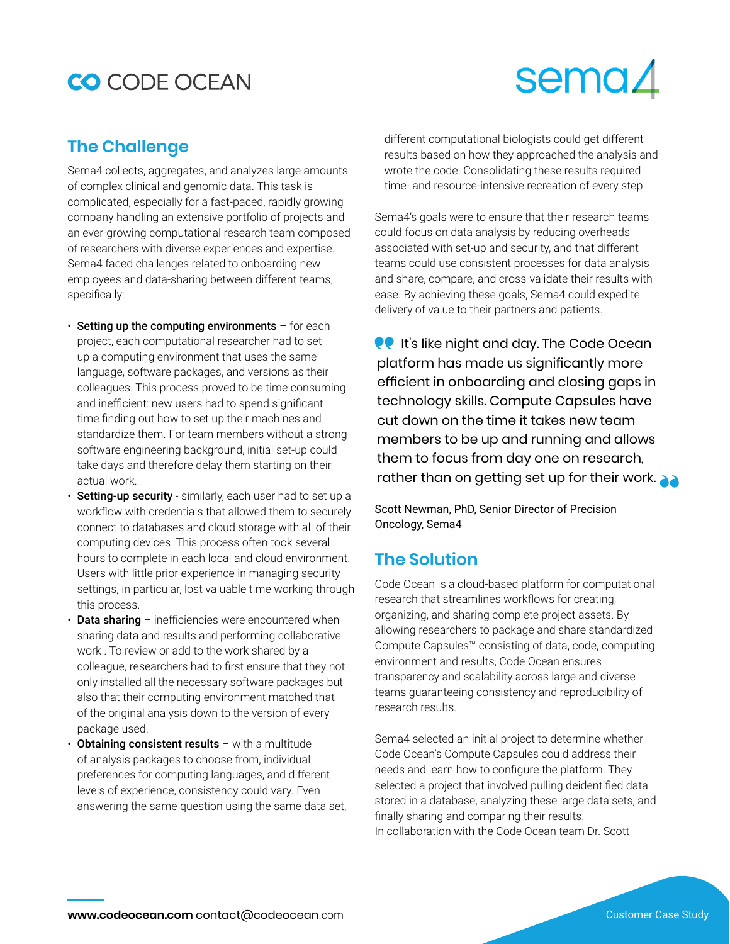### CO CODE OCEAN

## sema∠

#### **The Challenge**

Sema4 collects, aggregates, and analyzes large amounts of complex clinical and genomic data. This task is complicated, especially for a fast-paced, rapidly growing company handling an extensive portfolio of projects and an ever-growing computational research team composed of researchers with diverse experiences and expertise. Sema4 faced challenges related to onboarding new employees and data-sharing between different teams, specifically:

- $\cdot$  Setting up the computing environments  $-$  for each project, each computational researcher had to set up a computing environment that uses the same language, software packages, and versions as their colleagues. This process proved to be time consuming and inefficient: new users had to spend significant time finding out how to set up their machines and standardize them. For team members without a strong software engineering background, initial set-up could take days and therefore delay them starting on their actual work.
- Setting-up security similarly, each user had to set up a workflow with credentials that allowed them to securely connect to databases and cloud storage with all of their computing devices. This process often took several hours to complete in each local and cloud environment. Users with little prior experience in managing security settings, in particular, lost valuable time working through this process.
- **Data sharing** inefficiencies were encountered when sharing data and results and performing collaborative work . To review or add to the work shared by a colleague, researchers had to first ensure that they not only installed all the necessary software packages but also that their computing environment matched that of the original analysis down to the version of every package used.
- **Obtaining consistent results**  $-$  with a multitude of analysis packages to choose from, individual preferences for computing languages, and different levels of experience, consistency could vary. Even answering the same question using the same data set,

different computational biologists could get different results based on how they approached the analysis and wrote the code. Consolidating these results required time- and resource-intensive recreation of every step.

Sema4's goals were to ensure that their research teams could focus on data analysis by reducing overheads associated with set-up and security, and that different teams could use consistent processes for data analysis and share, compare, and cross-validate their results with ease. By achieving these goals, Sema4 could expedite delivery of value to their partners and patients.

**PP** It's like night and day. The Code Ocean platform has made us significantly more efficient in onboarding and closing gaps in technology skills. Compute Capsules have cut down on the time it takes new team members to be up and running and allows them to focus from day one on research, rather than on getting set up for their work.

Scott Newman, PhD, Senior Director of Precision Oncology, Sema4

#### **The Solution**

Code Ocean is a cloud-based platform for computational research that streamlines workflows for creating, organizing, and sharing complete project assets. By allowing researchers to package and share standardized Compute Capsules™ consisting of data, code, computing environment and results, Code Ocean ensures transparency and scalability across large and diverse teams guaranteeing consistency and reproducibility of research results.

Sema4 selected an initial project to determine whether Code Ocean's Compute Capsules could address their needs and learn how to configure the platform. They selected a project that involved pulling deidentified data stored in a database, analyzing these large data sets, and finally sharing and comparing their results. In collaboration with the Code Ocean team Dr. Scott